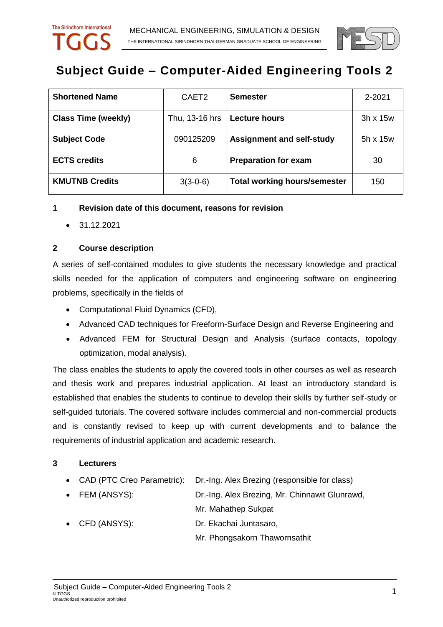

# **Subject Guide – Computer-Aided Engineering Tools 2**

| <b>Shortened Name</b>      | CAET <sub>2</sub> | <b>Semester</b>                     | 2-2021          |
|----------------------------|-------------------|-------------------------------------|-----------------|
| <b>Class Time (weekly)</b> | Thu, 13-16 hrs    | <b>Lecture hours</b>                | $3h \times 15w$ |
| <b>Subject Code</b>        | 090125209         | <b>Assignment and self-study</b>    | $5h \times 15w$ |
| <b>ECTS credits</b>        | 6                 | <b>Preparation for exam</b>         | 30              |
| <b>KMUTNB Credits</b>      | $3(3-0-6)$        | <b>Total working hours/semester</b> | 150             |

## **1 Revision date of this document, reasons for revision**

31.12.2021

## **2 Course description**

A series of self-contained modules to give students the necessary knowledge and practical skills needed for the application of computers and engineering software on engineering problems, specifically in the fields of

- Computational Fluid Dynamics (CFD),
- Advanced CAD techniques for Freeform-Surface Design and Reverse Engineering and
- Advanced FEM for Structural Design and Analysis (surface contacts, topology optimization, modal analysis).

The class enables the students to apply the covered tools in other courses as well as research and thesis work and prepares industrial application. At least an introductory standard is established that enables the students to continue to develop their skills by further self-study or self-guided tutorials. The covered software includes commercial and non-commercial products and is constantly revised to keep up with current developments and to balance the requirements of industrial application and academic research.

#### **3 Lecturers**

- CAD (PTC Creo Parametric): Dr.-Ing. Alex Brezing (responsible for class)
- FEM (ANSYS): Dr.-Ing. Alex Brezing, Mr. Chinnawit Glunrawd, Mr. Mahathep Sukpat
- CFD (ANSYS): Dr. Ekachai Juntasaro,

Mr. Phongsakorn Thawornsathit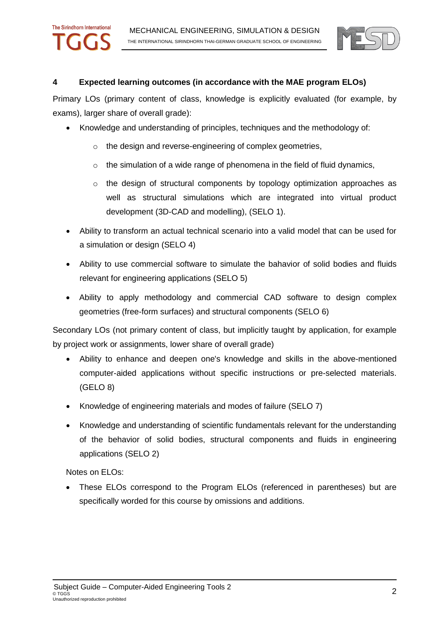

## **4 Expected learning outcomes (in accordance with the MAE program ELOs)**

Primary LOs (primary content of class, knowledge is explicitly evaluated (for example, by exams), larger share of overall grade):

- Knowledge and understanding of principles, techniques and the methodology of:
	- o the design and reverse-engineering of complex geometries,
	- $\circ$  the simulation of a wide range of phenomena in the field of fluid dynamics,
	- $\circ$  the design of structural components by topology optimization approaches as well as structural simulations which are integrated into virtual product development (3D-CAD and modelling), (SELO 1).
- Ability to transform an actual technical scenario into a valid model that can be used for a simulation or design (SELO 4)
- Ability to use commercial software to simulate the bahavior of solid bodies and fluids relevant for engineering applications (SELO 5)
- Ability to apply methodology and commercial CAD software to design complex geometries (free-form surfaces) and structural components (SELO 6)

Secondary LOs (not primary content of class, but implicitly taught by application, for example by project work or assignments, lower share of overall grade)

- Ability to enhance and deepen one's knowledge and skills in the above-mentioned computer-aided applications without specific instructions or pre-selected materials. (GELO 8)
- Knowledge of engineering materials and modes of failure (SELO 7)
- Knowledge and understanding of scientific fundamentals relevant for the understanding of the behavior of solid bodies, structural components and fluids in engineering applications (SELO 2)

Notes on ELOs:

The Sirindhorn International

 These ELOs correspond to the Program ELOs (referenced in parentheses) but are specifically worded for this course by omissions and additions.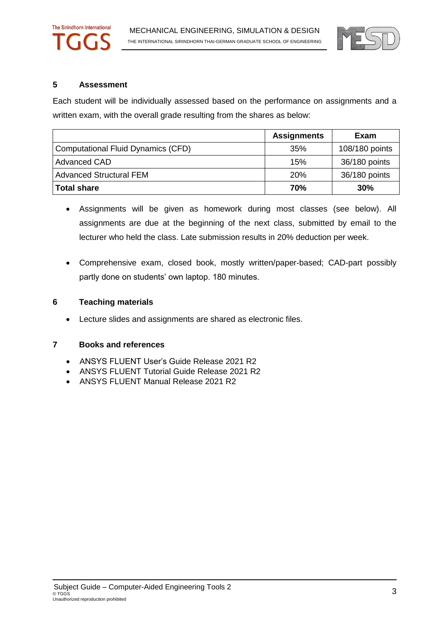

#### **5 Assessment**

The Sirindhorn International

Each student will be individually assessed based on the performance on assignments and a written exam, with the overall grade resulting from the shares as below:

|                                           | <b>Assignments</b> | Exam           |
|-------------------------------------------|--------------------|----------------|
| <b>Computational Fluid Dynamics (CFD)</b> | 35%                | 108/180 points |
| <b>Advanced CAD</b>                       | 15%                | 36/180 points  |
| <b>Advanced Structural FEM</b>            | 20%                | 36/180 points  |
| <b>Total share</b>                        | 70%                | 30%            |

- Assignments will be given as homework during most classes (see below). All assignments are due at the beginning of the next class, submitted by email to the lecturer who held the class. Late submission results in 20% deduction per week.
- Comprehensive exam, closed book, mostly written/paper-based; CAD-part possibly partly done on students' own laptop. 180 minutes.

### **6 Teaching materials**

Lecture slides and assignments are shared as electronic files.

#### **7 Books and references**

- ANSYS FLUENT User's Guide Release 2021 R2
- ANSYS FLUENT Tutorial Guide Release 2021 R2
- ANSYS FLUENT Manual Release 2021 R2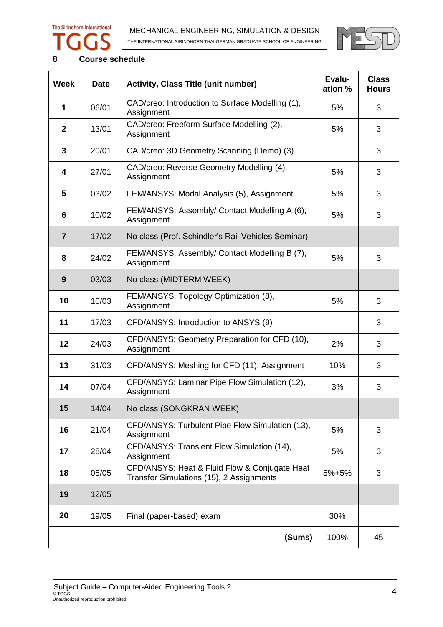# The Sirindhorn International





## **8 Course schedule**

| <b>Week</b>    | <b>Date</b> | <b>Activity, Class Title (unit number)</b>                                                | Evalu-<br>ation % | <b>Class</b><br><b>Hours</b> |
|----------------|-------------|-------------------------------------------------------------------------------------------|-------------------|------------------------------|
| 1              | 06/01       | CAD/creo: Introduction to Surface Modelling (1),<br>Assignment                            | 5%                | 3                            |
| $\mathbf{2}$   | 13/01       | CAD/creo: Freeform Surface Modelling (2),<br>Assignment                                   | 5%                | 3                            |
| 3              | 20/01       | CAD/creo: 3D Geometry Scanning (Demo) (3)                                                 |                   | 3                            |
| 4              | 27/01       | CAD/creo: Reverse Geometry Modelling (4),<br>Assignment                                   | 5%                | 3                            |
| 5              | 03/02       | FEM/ANSYS: Modal Analysis (5), Assignment                                                 | 5%                | 3                            |
| 6              | 10/02       | FEM/ANSYS: Assembly/ Contact Modelling A (6),<br>Assignment                               | 5%                | 3                            |
| $\overline{7}$ | 17/02       | No class (Prof. Schindler's Rail Vehicles Seminar)                                        |                   |                              |
| 8              | 24/02       | FEM/ANSYS: Assembly/ Contact Modelling B (7),<br>Assignment                               | 5%                | 3                            |
| 9              | 03/03       | No class (MIDTERM WEEK)                                                                   |                   |                              |
| 10             | 10/03       | FEM/ANSYS: Topology Optimization (8),<br>Assignment                                       | 5%                | 3                            |
| 11             | 17/03       | CFD/ANSYS: Introduction to ANSYS (9)                                                      |                   | 3                            |
| 12             | 24/03       | CFD/ANSYS: Geometry Preparation for CFD (10),<br>Assignment                               | 2%                | 3                            |
| 13             | 31/03       | CFD/ANSYS: Meshing for CFD (11), Assignment                                               | 10%               | 3                            |
| 14             | 07/04       | CFD/ANSYS: Laminar Pipe Flow Simulation (12),<br>Assignment                               | 3%                | 3                            |
| 15             | 14/04       | No class (SONGKRAN WEEK)                                                                  |                   |                              |
| 16             | 21/04       | CFD/ANSYS: Turbulent Pipe Flow Simulation (13),<br>Assignment                             | 5%                | 3                            |
| 17             | 28/04       | CFD/ANSYS: Transient Flow Simulation (14),<br>Assignment                                  | 5%                | 3                            |
| 18             | 05/05       | CFD/ANSYS: Heat & Fluid Flow & Conjugate Heat<br>Transfer Simulations (15), 2 Assignments | 5%+5%             | 3                            |
| 19             | 12/05       |                                                                                           |                   |                              |
| 20             | 19/05       | Final (paper-based) exam                                                                  | 30%               |                              |
|                |             | (Sums)                                                                                    | 100%              | 45                           |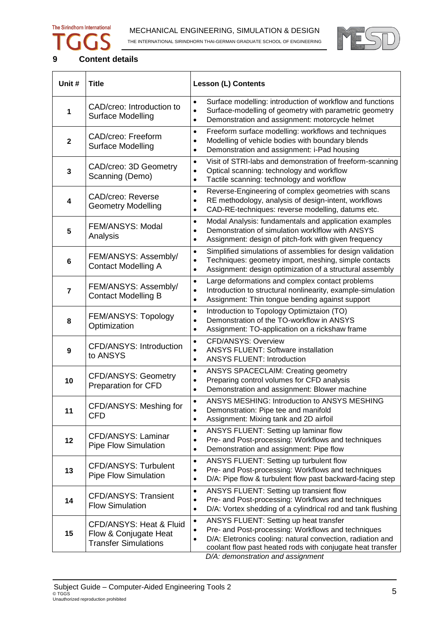# The Sirindhorn International

 $\overline{1}$ 



- 1



٦

## **9 Content details**

┱

| Unit #         | <b>Title</b>                                                                    | <b>Lesson (L) Contents</b>                                                                                                                                                                                                                                                                           |
|----------------|---------------------------------------------------------------------------------|------------------------------------------------------------------------------------------------------------------------------------------------------------------------------------------------------------------------------------------------------------------------------------------------------|
| 1              | CAD/creo: Introduction to<br>Surface Modelling                                  | Surface modelling: introduction of workflow and functions<br>$\bullet$<br>Surface-modelling of geometry with parametric geometry<br>$\bullet$<br>Demonstration and assignment: motorcycle helmet<br>$\bullet$                                                                                        |
| $\mathbf{2}$   | CAD/creo: Freeform<br>Surface Modelling                                         | Freeform surface modelling: workflows and techniques<br>$\bullet$<br>Modelling of vehicle bodies with boundary blends<br>$\bullet$<br>Demonstration and assignment: i-Pad housing<br>$\bullet$                                                                                                       |
| $\mathbf{3}$   | CAD/creo: 3D Geometry<br>Scanning (Demo)                                        | Visit of STRI-labs and demonstration of freeform-scanning<br>$\bullet$<br>Optical scanning: technology and workflow<br>$\bullet$<br>Tactile scanning: technology and workflow<br>$\bullet$                                                                                                           |
| 4              | <b>CAD/creo: Reverse</b><br><b>Geometry Modelling</b>                           | Reverse-Engineering of complex geometries with scans<br>$\bullet$<br>RE methodology, analysis of design-intent, workflows<br>$\bullet$<br>CAD-RE-techniques: reverse modelling, datums etc.<br>$\bullet$                                                                                             |
| 5              | FEM/ANSYS: Modal<br>Analysis                                                    | Modal Analysis: fundamentals and application examples<br>$\bullet$<br>Demonstration of simulation worklflow with ANSYS<br>$\bullet$<br>Assignment: design of pitch-fork with given frequency<br>$\bullet$                                                                                            |
| $6\phantom{1}$ | FEM/ANSYS: Assembly/<br><b>Contact Modelling A</b>                              | Simplified simulations of assemblies for design validation<br>$\bullet$<br>Techniques: geometry import, meshing, simple contacts<br>$\bullet$<br>Assignment: design optimization of a structural assembly<br>$\bullet$                                                                               |
| $\overline{7}$ | FEM/ANSYS: Assembly/<br><b>Contact Modelling B</b>                              | Large deformations and complex contact problems<br>$\bullet$<br>Introduction to structural nonlinearity, example-simulation<br>$\bullet$<br>Assignment: Thin tongue bending against support<br>$\bullet$                                                                                             |
| 8              | FEM/ANSYS: Topology<br>Optimization                                             | Introduction to Topology Optimiztaion (TO)<br>$\bullet$<br>Demonstration of the TO-workflow in ANSYS<br>$\bullet$<br>Assignment: TO-application on a rickshaw frame<br>$\bullet$                                                                                                                     |
| 9              | CFD/ANSYS: Introduction<br>to ANSYS                                             | <b>CFD/ANSYS: Overview</b><br>$\bullet$<br><b>ANSYS FLUENT: Software installation</b><br>$\bullet$<br><b>ANSYS FLUENT: Introduction</b><br>$\bullet$                                                                                                                                                 |
| 10             | <b>CFD/ANSYS: Geometry</b><br><b>Preparation for CFD</b>                        | ANSYS SPACECLAIM: Creating geometry<br>$\bullet$<br>Preparing control volumes for CFD analysis<br>$\bullet$<br>Demonstration and assignment: Blower machine<br>$\bullet$                                                                                                                             |
| 11             | CFD/ANSYS: Meshing for<br><b>CFD</b>                                            | ANSYS MESHING: Introduction to ANSYS MESHING<br>$\bullet$<br>Demonstration: Pipe tee and manifold<br>Assignment: Mixing tank and 2D airfoil<br>$\bullet$                                                                                                                                             |
| 12             | CFD/ANSYS: Laminar<br><b>Pipe Flow Simulation</b>                               | ANSYS FLUENT: Setting up laminar flow<br>$\bullet$<br>Pre- and Post-processing: Workflows and techniques<br>$\bullet$<br>Demonstration and assignment: Pipe flow<br>$\bullet$                                                                                                                        |
| 13             | CFD/ANSYS: Turbulent<br><b>Pipe Flow Simulation</b>                             | ANSYS FLUENT: Setting up turbulent flow<br>$\bullet$<br>Pre- and Post-processing: Workflows and techniques<br>$\bullet$<br>D/A: Pipe flow & turbulent flow past backward-facing step<br>$\bullet$                                                                                                    |
| 14             | CFD/ANSYS: Transient<br><b>Flow Simulation</b>                                  | ANSYS FLUENT: Setting up transient flow<br>$\bullet$<br>Pre- and Post-processing: Workflows and techniques<br>$\bullet$<br>D/A: Vortex shedding of a cylindrical rod and tank flushing<br>$\bullet$                                                                                                  |
| 15             | CFD/ANSYS: Heat & Fluid<br>Flow & Conjugate Heat<br><b>Transfer Simulations</b> | ANSYS FLUENT: Setting up heat transfer<br>$\bullet$<br>Pre- and Post-processing: Workflows and techniques<br>$\bullet$<br>D/A: Eletronics cooling: natural convection, radiation and<br>$\bullet$<br>coolant flow past heated rods with conjugate heat transfer<br>D/A: demonstration and assignment |